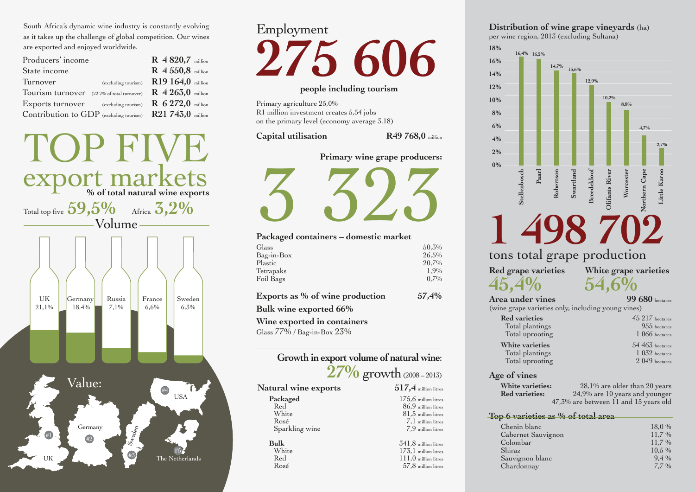South Africa's dynamic wine industry is constantly evolving as it takes up the challenge of global competition. Our wines are exported and enjoyed worldwide.

| R 4820,7 million  |                                                                                                                                                                                                                                                       |
|-------------------|-------------------------------------------------------------------------------------------------------------------------------------------------------------------------------------------------------------------------------------------------------|
| R 4 550,8 million |                                                                                                                                                                                                                                                       |
|                   |                                                                                                                                                                                                                                                       |
|                   |                                                                                                                                                                                                                                                       |
|                   |                                                                                                                                                                                                                                                       |
|                   |                                                                                                                                                                                                                                                       |
|                   | (excluding tourism) $\)$ R19 164,0 million<br>Tourism turnover $(22.2\%$ of total turnover) $\mathbb{R}$ 4 263,0 million<br>Exports turnover $($ excluding tourism $)$ R 6 272,0 million<br>Contribution to GDP (excluding tourism) R21 743,0 million |



# Employment **275 606**

## **people including tourism**

Primary agriculture 25,0% R1 million investment creates 5,54 jobs on the primary level (economy average 3,18)

**Capital utilisation R49 768,0** million

# **Primary wine grape producers:**

323

| Packaged containers - domestic market |         |
|---------------------------------------|---------|
| Glass                                 | 50,3%   |
| Bag-in-Box                            | 26,5%   |
| Plastic                               | 20.7%   |
| Tetrapaks                             | 1.9%    |
| Foil Bags                             | $0.7\%$ |
| Exports as % of wine production       | 57,4%   |
| Bulk wine exported 66%                |         |
| Wine exported in containers           |         |

Glass 77% / Bag-in-Box 23%

# **Growth in export volume of natural wine**:

**27%**growth (2008 – 2013)

| Natural wine exports | $517,4$ million litres |
|----------------------|------------------------|
| Packaged             | $175,6$ million litres |
| Red                  | 86,9 million litres    |
| White                | $81.5$ million litres  |
| Rosé                 | $7,1$ million litres   |
| Sparkling wine       | $7,9$ million litres   |
| <b>Bulk</b>          | $341,8$ million litres |
| White                | $173.1$ million litres |
| Red                  | $111,0$ million litres |
| Rosé                 | $57.8$ million litres  |

# **Distribution of wine grape vineyards** (ha)

per wine region, 2013 (excluding Sultana)



**Red varieties:** 24,9% are 10 years and younger 47,3% are between 11 and 15 years old

#### **Top 6 varieties as % of total area**

| 18.0 %   |
|----------|
| $11.7\%$ |
| 11.7 %   |
| $10.5\%$ |
| $9.4\%$  |
| $7.7\%$  |
|          |